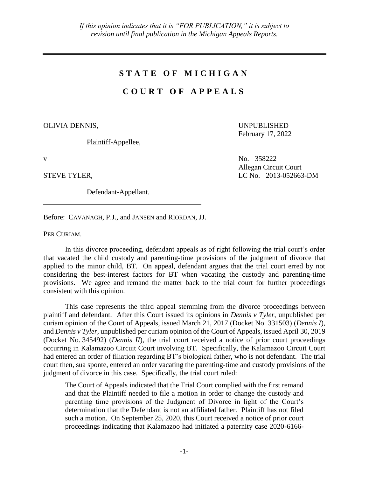## **S T A T E O F M I C H I G A N**

## **C O U R T O F A P P E A L S**

OLIVIA DENNIS,

Plaintiff-Appellee,

Defendant-Appellant.

UNPUBLISHED February 17, 2022

v No. 358222 Allegan Circuit Court STEVE TYLER, LC No. 2013-052663-DM

Before: CAVANAGH, P.J., and JANSEN and RIORDAN, JJ.

PER CURIAM.

In this divorce proceeding, defendant appeals as of right following the trial court's order that vacated the child custody and parenting-time provisions of the judgment of divorce that applied to the minor child, BT. On appeal, defendant argues that the trial court erred by not considering the best-interest factors for BT when vacating the custody and parenting-time provisions. We agree and remand the matter back to the trial court for further proceedings consistent with this opinion.

This case represents the third appeal stemming from the divorce proceedings between plaintiff and defendant. After this Court issued its opinions in *Dennis v Tyler*, unpublished per curiam opinion of the Court of Appeals, issued March 21, 2017 (Docket No. 331503) (*Dennis I*), and *Dennis v Tyler*, unpublished per curiam opinion of the Court of Appeals, issued April 30, 2019 (Docket No. 345492) (*Dennis II*), the trial court received a notice of prior court proceedings occurring in Kalamazoo Circuit Court involving BT. Specifically, the Kalamazoo Circuit Court had entered an order of filiation regarding BT's biological father, who is not defendant. The trial court then, sua sponte, entered an order vacating the parenting-time and custody provisions of the judgment of divorce in this case. Specifically, the trial court ruled:

The Court of Appeals indicated that the Trial Court complied with the first remand and that the Plaintiff needed to file a motion in order to change the custody and parenting time provisions of the Judgment of Divorce in light of the Court's determination that the Defendant is not an affiliated father. Plaintiff has not filed such a motion. On September 25, 2020, this Court received a notice of prior court proceedings indicating that Kalamazoo had initiated a paternity case 2020-6166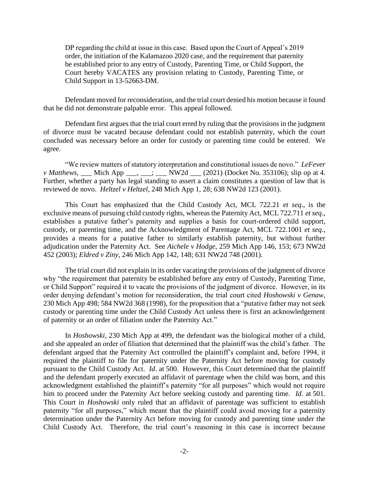DP regarding the child at issue in this case. Based upon the Court of Appeal's 2019 order, the initiation of the Kalamazoo 2020 case, and the requirement that paternity be established prior to any entry of Custody, Parenting Time, or Child Support, the Court hereby VACATES any provision relating to Custody, Parenting Time, or Child Support in 13-52663-DM.

Defendant moved for reconsideration, and the trial court denied his motion because it found that he did not demonstrate palpable error. This appeal followed.

Defendant first argues that the trial court erred by ruling that the provisions in the judgment of divorce must be vacated because defendant could not establish paternity, which the court concluded was necessary before an order for custody or parenting time could be entered. We agree.

"We review matters of statutory interpretation and constitutional issues de novo." *LeFever v Matthews*, Mich App  $\cdot$ ,  $\cdot$  NW2d  $(2021)$  (Docket No. 353106); slip op at 4. Further, whether a party has legal standing to assert a claim constitutes a question of law that is reviewed de novo. *Heltzel v Heltzel*, 248 Mich App 1, 28; 638 NW2d 123 (2001).

This Court has emphasized that the Child Custody Act, MCL 722.21 *et seq*., is the exclusive means of pursuing child custody rights, whereas the Paternity Act, MCL 722.711 *et seq*., establishes a putative father's paternity and supplies a basis for court-ordered child support, custody, or parenting time, and the Acknowledgment of Parentage Act, MCL 722.1001 *et seq*., provides a means for a putative father to similarly establish paternity, but without further adjudication under the Paternity Act. See *Aichele v Hodge*, 259 Mich App 146, 153; 673 NW2d 452 (2003); *Eldred v Ziny*, 246 Mich App 142, 148; 631 NW2d 748 (2001).

The trial court did not explain in its order vacating the provisions of the judgment of divorce why "the requirement that paternity be established before any entry of Custody, Parenting Time, or Child Support" required it to vacate the provisions of the judgment of divorce. However, in its order denying defendant's motion for reconsideration, the trial court cited *Hoshowski v Genaw*, 230 Mich App 498; 584 NW2d 368 (1998), for the proposition that a "putative father may not seek custody or parenting time under the Child Custody Act unless there is first an acknowledgement of paternity or an order of filiation under the Paternity Act."

In *Hoshowski*, 230 Mich App at 499, the defendant was the biological mother of a child, and she appealed an order of filiation that determined that the plaintiff was the child's father. The defendant argued that the Paternity Act controlled the plaintiff's complaint and, before 1994, it required the plaintiff to file for paternity under the Paternity Act before moving for custody pursuant to the Child Custody Act. *Id*. at 500. However, this Court determined that the plaintiff and the defendant properly executed an affidavit of parentage when the child was born, and this acknowledgment established the plaintiff's paternity "for all purposes" which would not require him to proceed under the Paternity Act before seeking custody and parenting time. *Id*. at 501. This Court in *Hoshowski* only ruled that an affidavit of parentage was sufficient to establish paternity "for all purposes," which meant that the plaintiff could avoid moving for a paternity determination under the Paternity Act before moving for custody and parenting time under the Child Custody Act. Therefore, the trial court's reasoning in this case is incorrect because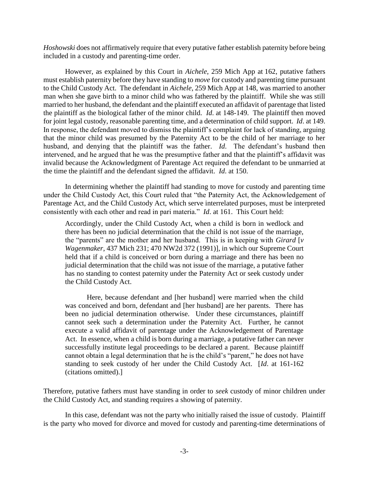*Hoshowski* does not affirmatively require that every putative father establish paternity before being included in a custody and parenting-time order.

However, as explained by this Court in *Aichele*, 259 Mich App at 162, putative fathers must establish paternity before they have standing to *move* for custody and parenting time pursuant to the Child Custody Act. The defendant in *Aichele*, 259 Mich App at 148, was married to another man when she gave birth to a minor child who was fathered by the plaintiff. While she was still married to her husband, the defendant and the plaintiff executed an affidavit of parentage that listed the plaintiff as the biological father of the minor child. *Id*. at 148-149. The plaintiff then moved for joint legal custody, reasonable parenting time, and a determination of child support. *Id*. at 149. In response, the defendant moved to dismiss the plaintiff's complaint for lack of standing, arguing that the minor child was presumed by the Paternity Act to be the child of her marriage to her husband, and denying that the plaintiff was the father. *Id*. The defendant's husband then intervened, and he argued that he was the presumptive father and that the plaintiff's affidavit was invalid because the Acknowledgment of Parentage Act required the defendant to be unmarried at the time the plaintiff and the defendant signed the affidavit. *Id*. at 150.

In determining whether the plaintiff had standing to move for custody and parenting time under the Child Custody Act, this Court ruled that "the Paternity Act, the Acknowledgement of Parentage Act, and the Child Custody Act, which serve interrelated purposes, must be interpreted consistently with each other and read in pari materia." *Id*. at 161. This Court held:

Accordingly, under the Child Custody Act, when a child is born in wedlock and there has been no judicial determination that the child is not issue of the marriage, the "parents" are the mother and her husband. This is in keeping with *Girard* [*v Wagenmaker*, 437 Mich 231; 470 NW2d 372 (1991)], in which our Supreme Court held that if a child is conceived or born during a marriage and there has been no judicial determination that the child was not issue of the marriage, a putative father has no standing to contest paternity under the Paternity Act or seek custody under the Child Custody Act.

Here, because defendant and [her husband] were married when the child was conceived and born, defendant and [her husband] are her parents. There has been no judicial determination otherwise. Under these circumstances, plaintiff cannot seek such a determination under the Paternity Act. Further, he cannot execute a valid affidavit of parentage under the Acknowledgement of Parentage Act. In essence, when a child is born during a marriage, a putative father can never successfully institute legal proceedings to be declared a parent. Because plaintiff cannot obtain a legal determination that he is the child's "parent," he does not have standing to seek custody of her under the Child Custody Act. [*Id*. at 161-162 (citations omitted).]

Therefore, putative fathers must have standing in order to *seek* custody of minor children under the Child Custody Act, and standing requires a showing of paternity.

In this case, defendant was not the party who initially raised the issue of custody. Plaintiff is the party who moved for divorce and moved for custody and parenting-time determinations of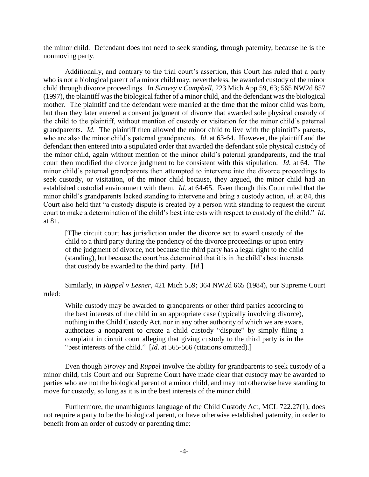the minor child. Defendant does not need to seek standing, through paternity, because he is the nonmoving party.

Additionally, and contrary to the trial court's assertion, this Court has ruled that a party who is not a biological parent of a minor child may, nevertheless, be awarded custody of the minor child through divorce proceedings. In *Sirovey v Campbell*, 223 Mich App 59, 63; 565 NW2d 857 (1997), the plaintiff was the biological father of a minor child, and the defendant was the biological mother. The plaintiff and the defendant were married at the time that the minor child was born, but then they later entered a consent judgment of divorce that awarded sole physical custody of the child to the plaintiff, without mention of custody or visitation for the minor child's paternal grandparents. *Id*. The plaintiff then allowed the minor child to live with the plaintiff's parents, who are also the minor child's paternal grandparents. *Id*. at 63-64. However, the plaintiff and the defendant then entered into a stipulated order that awarded the defendant sole physical custody of the minor child, again without mention of the minor child's paternal grandparents, and the trial court then modified the divorce judgment to be consistent with this stipulation. *Id*. at 64. The minor child's paternal grandparents then attempted to intervene into the divorce proceedings to seek custody, or visitation, of the minor child because, they argued, the minor child had an established custodial environment with them. *Id*. at 64-65. Even though this Court ruled that the minor child's grandparents lacked standing to intervene and bring a custody action, *id*. at 84, this Court also held that "a custody dispute is created by a person with standing to request the circuit court to make a determination of the child's best interests with respect to custody of the child." *Id*. at 81.

[T]he circuit court has jurisdiction under the divorce act to award custody of the child to a third party during the pendency of the divorce proceedings or upon entry of the judgment of divorce, not because the third party has a legal right to the child (standing), but because the court has determined that it is in the child's best interests that custody be awarded to the third party. [*Id*.]

Similarly, in *Ruppel v Lesner*, 421 Mich 559; 364 NW2d 665 (1984), our Supreme Court ruled:

While custody may be awarded to grandparents or other third parties according to the best interests of the child in an appropriate case (typically involving divorce), nothing in the Child Custody Act, nor in any other authority of which we are aware, authorizes a nonparent to create a child custody "dispute" by simply filing a complaint in circuit court alleging that giving custody to the third party is in the "best interests of the child." [*Id.* at 565-566 (citations omitted).]

Even though *Sirovey* and *Ruppel* involve the ability for grandparents to seek custody of a minor child, this Court and our Supreme Court have made clear that custody may be awarded to parties who are not the biological parent of a minor child, and may not otherwise have standing to move for custody, so long as it is in the best interests of the minor child.

Furthermore, the unambiguous language of the Child Custody Act, MCL 722.27(1), does not require a party to be the biological parent, or have otherwise established paternity, in order to benefit from an order of custody or parenting time: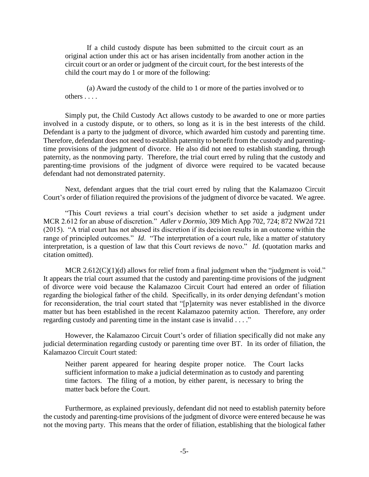If a child custody dispute has been submitted to the circuit court as an original action under this act or has arisen incidentally from another action in the circuit court or an order or judgment of the circuit court, for the best interests of the child the court may do 1 or more of the following:

(a) Award the custody of the child to 1 or more of the parties involved or to others . . . .

Simply put, the Child Custody Act allows custody to be awarded to one or more parties involved in a custody dispute, or to others, so long as it is in the best interests of the child. Defendant is a party to the judgment of divorce, which awarded him custody and parenting time. Therefore, defendant does not need to establish paternity to benefit from the custody and parentingtime provisions of the judgment of divorce. He also did not need to establish standing, through paternity, as the nonmoving party. Therefore, the trial court erred by ruling that the custody and parenting-time provisions of the judgment of divorce were required to be vacated because defendant had not demonstrated paternity.

Next, defendant argues that the trial court erred by ruling that the Kalamazoo Circuit Court's order of filiation required the provisions of the judgment of divorce be vacated. We agree.

"This Court reviews a trial court's decision whether to set aside a judgment under MCR 2.612 for an abuse of discretion." *Adler v Dormio*, 309 Mich App 702, 724; 872 NW2d 721 (2015). "A trial court has not abused its discretion if its decision results in an outcome within the range of principled outcomes." *Id*. "The interpretation of a court rule, like a matter of statutory interpretation, is a question of law that this Court reviews de novo." *Id*. (quotation marks and citation omitted).

MCR  $2.612(C)(1)(d)$  allows for relief from a final judgment when the "judgment is void." It appears the trial court assumed that the custody and parenting-time provisions of the judgment of divorce were void because the Kalamazoo Circuit Court had entered an order of filiation regarding the biological father of the child. Specifically, in its order denying defendant's motion for reconsideration, the trial court stated that "[p]aternity was never established in the divorce matter but has been established in the recent Kalamazoo paternity action. Therefore, any order regarding custody and parenting time in the instant case is invalid . . . ."

However, the Kalamazoo Circuit Court's order of filiation specifically did not make any judicial determination regarding custody or parenting time over BT. In its order of filiation, the Kalamazoo Circuit Court stated:

Neither parent appeared for hearing despite proper notice. The Court lacks sufficient information to make a judicial determination as to custody and parenting time factors. The filing of a motion, by either parent, is necessary to bring the matter back before the Court.

Furthermore, as explained previously, defendant did not need to establish paternity before the custody and parenting-time provisions of the judgment of divorce were entered because he was not the moving party. This means that the order of filiation, establishing that the biological father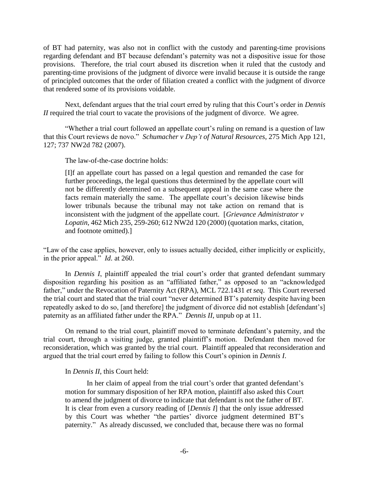of BT had paternity, was also not in conflict with the custody and parenting-time provisions regarding defendant and BT because defendant's paternity was not a dispositive issue for those provisions. Therefore, the trial court abused its discretion when it ruled that the custody and parenting-time provisions of the judgment of divorce were invalid because it is outside the range of principled outcomes that the order of filiation created a conflict with the judgment of divorce that rendered some of its provisions voidable.

Next, defendant argues that the trial court erred by ruling that this Court's order in *Dennis II* required the trial court to vacate the provisions of the judgment of divorce. We agree.

"Whether a trial court followed an appellate court's ruling on remand is a question of law that this Court reviews de novo." *Schumacher v Dep't of Natural Resources*, 275 Mich App 121, 127; 737 NW2d 782 (2007).

The law-of-the-case doctrine holds:

[I]f an appellate court has passed on a legal question and remanded the case for further proceedings, the legal questions thus determined by the appellate court will not be differently determined on a subsequent appeal in the same case where the facts remain materially the same. The appellate court's decision likewise binds lower tribunals because the tribunal may not take action on remand that is inconsistent with the judgment of the appellate court. [*Grievance Administrator v Lopatin*, 462 Mich 235, 259-260; 612 NW2d 120 (2000) (quotation marks, citation, and footnote omitted).]

"Law of the case applies, however, only to issues actually decided, either implicitly or explicitly, in the prior appeal." *Id*. at 260.

In *Dennis I*, plaintiff appealed the trial court's order that granted defendant summary disposition regarding his position as an "affiliated father," as opposed to an "acknowledged father," under the Revocation of Paternity Act (RPA), MCL 722.1431 *et seq*. This Court reversed the trial court and stated that the trial court "never determined BT's paternity despite having been repeatedly asked to do so, [and therefore] the judgment of divorce did not establish [defendant's] paternity as an affiliated father under the RPA." *Dennis II*, unpub op at 11.

On remand to the trial court, plaintiff moved to terminate defendant's paternity, and the trial court, through a visiting judge, granted plaintiff's motion. Defendant then moved for reconsideration, which was granted by the trial court. Plaintiff appealed that reconsideration and argued that the trial court erred by failing to follow this Court's opinion in *Dennis I*.

## In *Dennis II*, this Court held:

In her claim of appeal from the trial court's order that granted defendant's motion for summary disposition of her RPA motion, plaintiff also asked this Court to amend the judgment of divorce to indicate that defendant is not the father of BT. It is clear from even a cursory reading of [*Dennis I*] that the only issue addressed by this Court was whether "the parties' divorce judgment determined BT's paternity." As already discussed, we concluded that, because there was no formal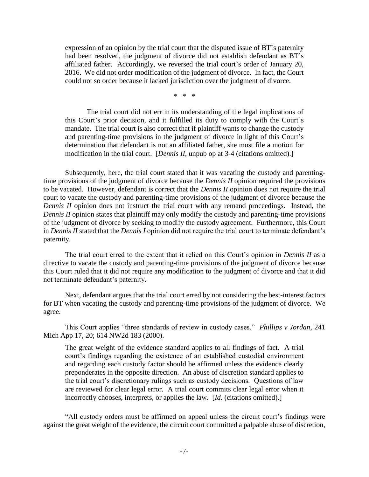expression of an opinion by the trial court that the disputed issue of BT's paternity had been resolved, the judgment of divorce did not establish defendant as BT's affiliated father. Accordingly, we reversed the trial court's order of January 20, 2016. We did not order modification of the judgment of divorce. In fact, the Court could not so order because it lacked jurisdiction over the judgment of divorce.

\* \* \*

The trial court did not err in its understanding of the legal implications of this Court's prior decision, and it fulfilled its duty to comply with the Court's mandate. The trial court is also correct that if plaintiff wants to change the custody and parenting-time provisions in the judgment of divorce in light of this Court's determination that defendant is not an affiliated father, she must file a motion for modification in the trial court. [*Dennis II*, unpub op at 3-4 (citations omitted).]

Subsequently, here, the trial court stated that it was vacating the custody and parentingtime provisions of the judgment of divorce because the *Dennis II* opinion required the provisions to be vacated. However, defendant is correct that the *Dennis II* opinion does not require the trial court to vacate the custody and parenting-time provisions of the judgment of divorce because the *Dennis II* opinion does not instruct the trial court with any remand proceedings. Instead, the *Dennis II* opinion states that plaintiff may only modify the custody and parenting-time provisions of the judgment of divorce by seeking to modify the custody agreement. Furthermore, this Court in *Dennis II* stated that the *Dennis I* opinion did not require the trial court to terminate defendant's paternity.

The trial court erred to the extent that it relied on this Court's opinion in *Dennis II* as a directive to vacate the custody and parenting-time provisions of the judgment of divorce because this Court ruled that it did not require any modification to the judgment of divorce and that it did not terminate defendant's paternity.

Next, defendant argues that the trial court erred by not considering the best-interest factors for BT when vacating the custody and parenting-time provisions of the judgment of divorce. We agree.

This Court applies "three standards of review in custody cases." *Phillips v Jordan*, 241 Mich App 17, 20; 614 NW2d 183 (2000).

The great weight of the evidence standard applies to all findings of fact. A trial court's findings regarding the existence of an established custodial environment and regarding each custody factor should be affirmed unless the evidence clearly preponderates in the opposite direction. An abuse of discretion standard applies to the trial court's discretionary rulings such as custody decisions. Questions of law are reviewed for clear legal error. A trial court commits clear legal error when it incorrectly chooses, interprets, or applies the law. [*Id*. (citations omitted).]

"All custody orders must be affirmed on appeal unless the circuit court's findings were against the great weight of the evidence, the circuit court committed a palpable abuse of discretion,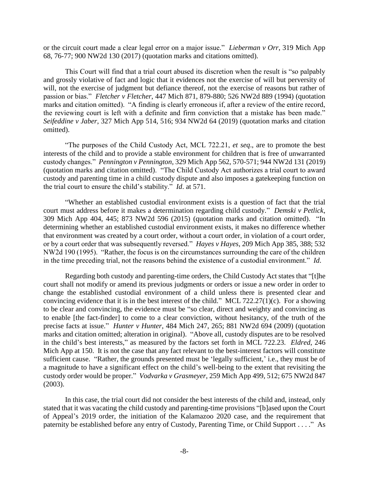or the circuit court made a clear legal error on a major issue." *Lieberman v Orr*, 319 Mich App 68, 76-77; 900 NW2d 130 (2017) (quotation marks and citations omitted).

This Court will find that a trial court abused its discretion when the result is "so palpably and grossly violative of fact and logic that it evidences not the exercise of will but perversity of will, not the exercise of judgment but defiance thereof, not the exercise of reasons but rather of passion or bias." *Fletcher v Fletcher*, 447 Mich 871, 879-880; 526 NW2d 889 (1994) (quotation marks and citation omitted). "A finding is clearly erroneous if, after a review of the entire record, the reviewing court is left with a definite and firm conviction that a mistake has been made." *Seifeddine v Jaber*, 327 Mich App 514, 516; 934 NW2d 64 (2019) (quotation marks and citation omitted).

"The purposes of the Child Custody Act, MCL 722.21, *et seq*., are to promote the best interests of the child and to provide a stable environment for children that is free of unwarranted custody changes." *Pennington v Pennington*, 329 Mich App 562, 570-571; 944 NW2d 131 (2019) (quotation marks and citation omitted). "The Child Custody Act authorizes a trial court to award custody and parenting time in a child custody dispute and also imposes a gatekeeping function on the trial court to ensure the child's stability." *Id*. at 571.

"Whether an established custodial environment exists is a question of fact that the trial court must address before it makes a determination regarding child custody." *Demski v Petlick*, 309 Mich App 404, 445; 873 NW2d 596 (2015) (quotation marks and citation omitted). "In determining whether an established custodial environment exists, it makes no difference whether that environment was created by a court order, without a court order, in violation of a court order, or by a court order that was subsequently reversed." *Hayes v Hayes*, 209 Mich App 385, 388; 532 NW2d 190 (1995). "Rather, the focus is on the circumstances surrounding the care of the children in the time preceding trial, not the reasons behind the existence of a custodial environment." *Id*.

Regarding both custody and parenting-time orders, the Child Custody Act states that "[t]he court shall not modify or amend its previous judgments or orders or issue a new order in order to change the established custodial environment of a child unless there is presented clear and convincing evidence that it is in the best interest of the child." MCL 722.27(1)(c). For a showing to be clear and convincing, the evidence must be "so clear, direct and weighty and convincing as to enable [the fact-finder] to come to a clear conviction, without hesitancy, of the truth of the precise facts at issue." *Hunter v Hunter*, 484 Mich 247, 265; 881 NW2d 694 (2009) (quotation marks and citation omitted; alteration in original). "Above all, custody disputes are to be resolved in the child's best interests," as measured by the factors set forth in MCL 722.23. *Eldred*, 246 Mich App at 150. It is not the case that any fact relevant to the best-interest factors will constitute sufficient cause. "Rather, the grounds presented must be 'legally sufficient,' i.e., they must be of a magnitude to have a significant effect on the child's well-being to the extent that revisiting the custody order would be proper." *Vodvarka v Grasmeyer*, 259 Mich App 499, 512; 675 NW2d 847 (2003).

In this case, the trial court did not consider the best interests of the child and, instead, only stated that it was vacating the child custody and parenting-time provisions "[b]ased upon the Court of Appeal's 2019 order, the initiation of the Kalamazoo 2020 case, and the requirement that paternity be established before any entry of Custody, Parenting Time, or Child Support . . . ." As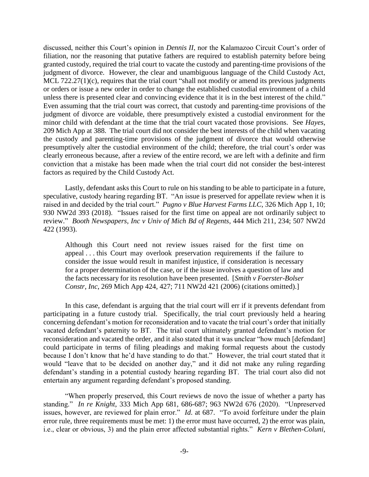discussed, neither this Court's opinion in *Dennis II*, nor the Kalamazoo Circuit Court's order of filiation, nor the reasoning that putative fathers are required to establish paternity before being granted custody, required the trial court to vacate the custody and parenting-time provisions of the judgment of divorce. However, the clear and unambiguous language of the Child Custody Act, MCL 722.27(1)(c), requires that the trial court "shall not modify or amend its previous judgments or orders or issue a new order in order to change the established custodial environment of a child unless there is presented clear and convincing evidence that it is in the best interest of the child." Even assuming that the trial court was correct, that custody and parenting-time provisions of the judgment of divorce are voidable, there presumptively existed a custodial environment for the minor child with defendant at the time that the trial court vacated those provisions. See *Hayes*, 209 Mich App at 388. The trial court did not consider the best interests of the child when vacating the custody and parenting-time provisions of the judgment of divorce that would otherwise presumptively alter the custodial environment of the child; therefore, the trial court's order was clearly erroneous because, after a review of the entire record, we are left with a definite and firm conviction that a mistake has been made when the trial court did not consider the best-interest factors as required by the Child Custody Act.

Lastly, defendant asks this Court to rule on his standing to be able to participate in a future, speculative, custody hearing regarding BT. "An issue is preserved for appellate review when it is raised in and decided by the trial court." *Pugno v Blue Harvest Farms LLC*, 326 Mich App 1, 10; 930 NW2d 393 (2018). "Issues raised for the first time on appeal are not ordinarily subject to review." *Booth Newspapers, Inc v Univ of Mich Bd of Regents*, 444 Mich 211, 234; 507 NW2d 422 (1993).

Although this Court need not review issues raised for the first time on appeal . . . this Court may overlook preservation requirements if the failure to consider the issue would result in manifest injustice, if consideration is necessary for a proper determination of the case, or if the issue involves a question of law and the facts necessary for its resolution have been presented. [*Smith v Foerster-Bolser Constr, Inc*, 269 Mich App 424, 427; 711 NW2d 421 (2006) (citations omitted).]

In this case, defendant is arguing that the trial court will err if it prevents defendant from participating in a future custody trial. Specifically, the trial court previously held a hearing concerning defendant's motion for reconsideration and to vacate the trial court's order that initially vacated defendant's paternity to BT. The trial court ultimately granted defendant's motion for reconsideration and vacated the order, and it also stated that it was unclear "how much [defendant] could participate in terms of filing pleadings and making formal requests about the custody because I don't know that he'd have standing to do that." However, the trial court stated that it would "leave that to be decided on another day," and it did not make any ruling regarding defendant's standing in a potential custody hearing regarding BT. The trial court also did not entertain any argument regarding defendant's proposed standing.

"When properly preserved, this Court reviews de novo the issue of whether a party has standing." *In re Knight*, 333 Mich App 681, 686-687; 963 NW2d 676 (2020). "Unpreserved issues, however, are reviewed for plain error." *Id*. at 687. "To avoid forfeiture under the plain error rule, three requirements must be met: 1) the error must have occurred, 2) the error was plain, i.e., clear or obvious, 3) and the plain error affected substantial rights." *Kern v Blethen-Coluni*,